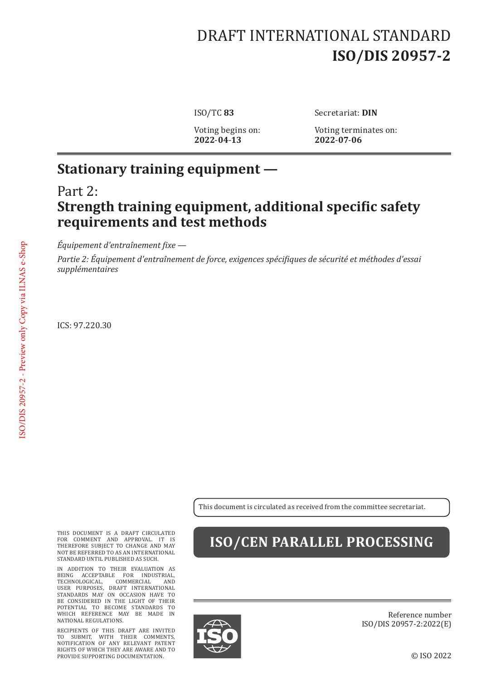# DRAFT INTERNATIONAL STANDARD **ISO/DIS 20957-2**

**2022**-**04**-**13 2022**-**07**-**06**

ISO/TC **83** Secretariat: **DIN**

Voting begins on: Voting terminates on:<br>2022-04-13 2022-07-06

#### **Stationary training equipment —**

#### Part 2: **Strength training equipment, additional specific safety requirements and test methods**

*Équipement d'entraînement fixe —*

*Partie 2: Équipement d'entraînement de force, exigences spécifiques de sécurité et méthodes d'essai supplémentaires*

ICS: 97.220.30

This document is circulated as received from the committee secretariat.

THIS DOCUMENT IS A DRAFT CIRCULATED FOR COMMENT AND APPROVAL. IT IS THEREFORE SUBJECT TO CHANGE AND MAY NOT BE REFERRED TO AS AN INTERNATIONAL STANDARD UNTIL PUBLISHED AS SUCH.

IN ADDITION TO THEIR EVALUATION AS BEING ACCEPTABLE FOR INDUSTRIAL, TECHNOLOGICAL, COMMERCIAL AND USER PURPOSES, DRAFT INTERNATIONAL STANDARDS MAY ON OCCASION HAVE TO BE CONSIDERED IN THE LIGHT OF THEIR POTENTIAL TO BECOME STANDARDS TO WHICH REFERENCE MAY BE MADE IN NATIONAL REGULATIONS.

RECIPIENTS OF THIS DRAFT ARE INVITED TO SUBMIT, WITH THEIR COMMENTS, NOTIFICATION OF ANY RELEVANT PATENT RIGHTS OF WHICH THEY ARE AWARE AND TO PROVIDE SUPPORTING DOCUMENTATION.

### **ISO/CEN PARALLEL PROCESSING**



Reference number ISO/DIS 20957-2:2022(E)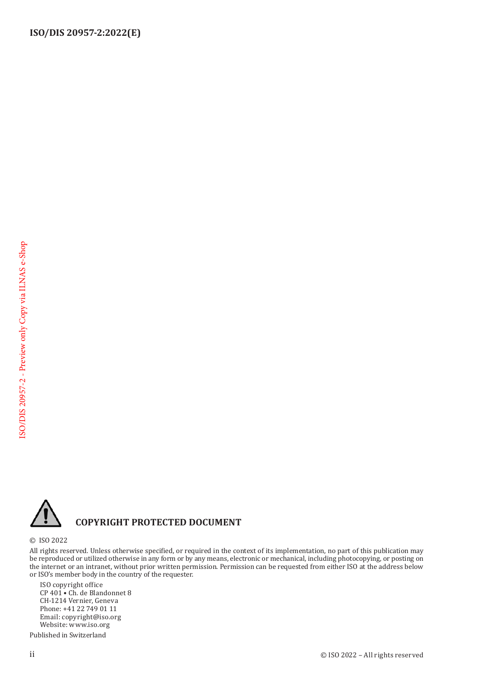

#### **COPYRIGHT PROTECTED DOCUMENT**

© ISO 2022

All rights reserved. Unless otherwise specified, or required in the context of its implementation, no part of this publication may be reproduced or utilized otherwise in any form or by any means, electronic or mechanical, including photocopying, or posting on the internet or an intranet, without prior written permission. Permission can be requested from either ISO at the address below or ISO's member body in the country of the requester.

ISO copyright office CP 401 • Ch. de Blandonnet 8 CH-1214 Vernier, Geneva Phone: +41 22 749 01 11 Email: copyright@iso.org Website: www.iso.org

Published in Switzerland